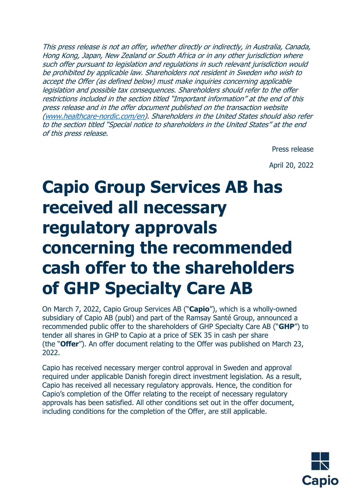This press release is not an offer, whether directly or indirectly, in Australia, Canada, Hong Kong, Japan, New Zealand or South Africa or in any other jurisdiction where such offer pursuant to legislation and regulations in such relevant jurisdiction would be prohibited by applicable law. Shareholders not resident in Sweden who wish to accept the Offer (as defined below) must make inquiries concerning applicable legislation and possible tax consequences. Shareholders should refer to the offer restrictions included in the section titled "Important information" at the end of this press release and in the offer document published on the transaction website [\(www.healthcare-nordic.com/en\)](http://www.healthcare-nordic.com/en). Shareholders in the United States should also refer to the section titled "Special notice to shareholders in the United States" at the end of this press release.

Press release

April 20, 2022

# **Capio Group Services AB has received all necessary regulatory approvals concerning the recommended cash offer to the shareholders of GHP Specialty Care AB**

On March 7, 2022, Capio Group Services AB ("**Capio**"), which is a wholly-owned subsidiary of Capio AB (publ) and part of the Ramsay Santé Group, announced a recommended public offer to the shareholders of GHP Specialty Care AB ("**GHP**") to tender all shares in GHP to Capio at a price of SEK 35 in cash per share (the "**Offer**"). An offer document relating to the Offer was published on March 23, 2022.

Capio has received necessary merger control approval in Sweden and approval required under applicable Danish foregin direct investment legislation. As a result, Capio has received all necessary regulatory approvals. Hence, the condition for Capio's completion of the Offer relating to the receipt of necessary regulatory approvals has been satisfied. All other conditions set out in the offer document, including conditions for the completion of the Offer, are still applicable.

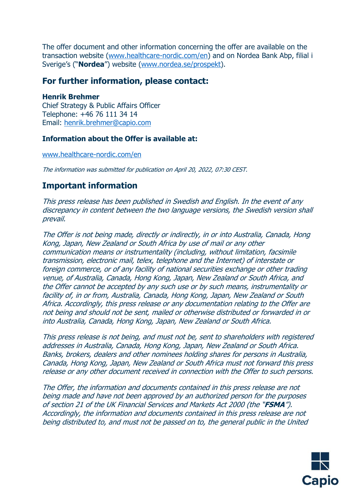The offer document and other information concerning the offer are available on the transaction website [\(www.healthcare-nordic.com/en\)](http://www.healthcare-nordic.com/en) and on Nordea Bank Abp, filial i Sverige's ("**Nordea**") website ([www.nordea.se/prospekt\)](http://www.nordea.se/prospekt).

### **For further information, please contact:**

#### **Henrik Brehmer**

Chief Strategy & Public Affairs Officer Telephone: +46 76 111 34 14 Email: [henrik.brehmer@capio.com](mailto:henrik.brehmer@capio.com)

#### **Information about the Offer is available at:**

[www.healthcare-nordic.com/en](http://www.healthcare-nordic.com/en)

The information was submitted for publication on April 20, 2022, 07:30 CEST.

## **Important information**

This press release has been published in Swedish and English. In the event of any discrepancy in content between the two language versions, the Swedish version shall prevail.

The Offer is not being made, directly or indirectly, in or into Australia, Canada, Hong Kong, Japan, New Zealand or South Africa by use of mail or any other communication means or instrumentality (including, without limitation, facsimile transmission, electronic mail, telex, telephone and the Internet) of interstate or foreign commerce, or of any facility of national securities exchange or other trading venue, of Australia, Canada, Hong Kong, Japan, New Zealand or South Africa, and the Offer cannot be accepted by any such use or by such means, instrumentality or facility of, in or from, Australia, Canada, Hong Kong, Japan, New Zealand or South Africa. Accordingly, this press release or any documentation relating to the Offer are not being and should not be sent, mailed or otherwise distributed or forwarded in or into Australia, Canada, Hong Kong, Japan, New Zealand or South Africa.

This press release is not being, and must not be, sent to shareholders with registered addresses in Australia, Canada, Hong Kong, Japan, New Zealand or South Africa. Banks, brokers, dealers and other nominees holding shares for persons in Australia, Canada, Hong Kong, Japan, New Zealand or South Africa must not forward this press release or any other document received in connection with the Offer to such persons.

The Offer, the information and documents contained in this press release are not being made and have not been approved by an authorized person for the purposes of section 21 of the UK Financial Services and Markets Act 2000 (the "**FSMA**"). Accordingly, the information and documents contained in this press release are not being distributed to, and must not be passed on to, the general public in the United

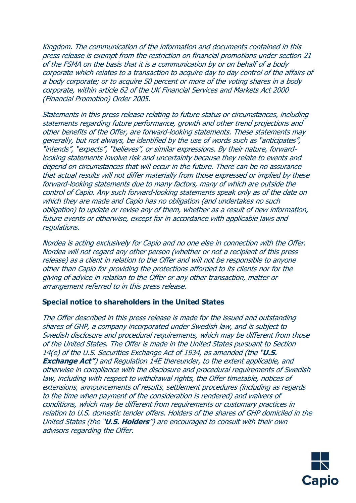Kingdom. The communication of the information and documents contained in this press release is exempt from the restriction on financial promotions under section 21 of the FSMA on the basis that it is a communication by or on behalf of a body corporate which relates to a transaction to acquire day to day control of the affairs of a body corporate; or to acquire 50 percent or more of the voting shares in a body corporate, within article 62 of the UK Financial Services and Markets Act 2000 (Financial Promotion) Order 2005.

Statements in this press release relating to future status or circumstances, including statements regarding future performance, growth and other trend projections and other benefits of the Offer, are forward-looking statements. These statements may generally, but not always, be identified by the use of words such as "anticipates", "intends", "expects", "believes", or similar expressions. By their nature, forwardlooking statements involve risk and uncertainty because they relate to events and depend on circumstances that will occur in the future. There can be no assurance that actual results will not differ materially from those expressed or implied by these forward-looking statements due to many factors, many of which are outside the control of Capio. Any such forward-looking statements speak only as of the date on which they are made and Capio has no obligation (and undertakes no such obligation) to update or revise any of them, whether as a result of new information, future events or otherwise, except for in accordance with applicable laws and regulations.

Nordea is acting exclusively for Capio and no one else in connection with the Offer. Nordea will not regard any other person (whether or not a recipient of this press release) as a client in relation to the Offer and will not be responsible to anyone other than Capio for providing the protections afforded to its clients nor for the giving of advice in relation to the Offer or any other transaction, matter or arrangement referred to in this press release.

#### **Special notice to shareholders in the United States**

The Offer described in this press release is made for the issued and outstanding shares of GHP, a company incorporated under Swedish law, and is subject to Swedish disclosure and procedural requirements, which may be different from those of the United States. The Offer is made in the United States pursuant to Section 14(e) of the U.S. Securities Exchange Act of 1934, as amended (the "**U.S. Exchange Act"**) and Regulation 14E thereunder, to the extent applicable, and otherwise in compliance with the disclosure and procedural requirements of Swedish law, including with respect to withdrawal rights, the Offer timetable, notices of extensions, announcements of results, settlement procedures (including as regards to the time when payment of the consideration is rendered) and waivers of conditions, which may be different from requirements or customary practices in relation to U.S. domestic tender offers. Holders of the shares of GHP domiciled in the United States (the "**U.S. Holders**") are encouraged to consult with their own advisors regarding the Offer.

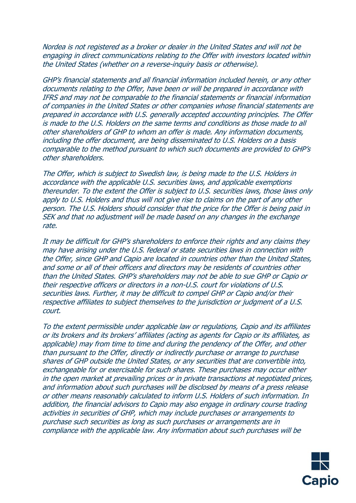Nordea is not registered as a broker or dealer in the United States and will not be engaging in direct communications relating to the Offer with investors located within the United States (whether on a reverse-inquiry basis or otherwise).

GHP's financial statements and all financial information included herein, or any other documents relating to the Offer, have been or will be prepared in accordance with IFRS and may not be comparable to the financial statements or financial information of companies in the United States or other companies whose financial statements are prepared in accordance with U.S. generally accepted accounting principles. The Offer is made to the U.S. Holders on the same terms and conditions as those made to all other shareholders of GHP to whom an offer is made. Any information documents, including the offer document, are being disseminated to U.S. Holders on a basis comparable to the method pursuant to which such documents are provided to GHP's other shareholders.

The Offer, which is subject to Swedish law, is being made to the U.S. Holders in accordance with the applicable U.S. securities laws, and applicable exemptions thereunder. To the extent the Offer is subject to U.S. securities laws, those laws only apply to U.S. Holders and thus will not give rise to claims on the part of any other person. The U.S. Holders should consider that the price for the Offer is being paid in SEK and that no adjustment will be made based on any changes in the exchange rate.

It may be difficult for GHP's shareholders to enforce their rights and any claims they may have arising under the U.S. federal or state securities laws in connection with the Offer, since GHP and Capio are located in countries other than the United States, and some or all of their officers and directors may be residents of countries other than the United States. GHP's shareholders may not be able to sue GHP or Capio or their respective officers or directors in a non-U.S. court for violations of U.S. securities laws. Further, it may be difficult to compel GHP or Capio and/or their respective affiliates to subject themselves to the jurisdiction or judgment of a U.S. court.

To the extent permissible under applicable law or regulations, Capio and its affiliates or its brokers and its brokers' affiliates (acting as agents for Capio or its affiliates, as applicable) may from time to time and during the pendency of the Offer, and other than pursuant to the Offer, directly or indirectly purchase or arrange to purchase shares of GHP outside the United States, or any securities that are convertible into, exchangeable for or exercisable for such shares. These purchases may occur either in the open market at prevailing prices or in private transactions at negotiated prices, and information about such purchases will be disclosed by means of a press release or other means reasonably calculated to inform U.S. Holders of such information. In addition, the financial advisors to Capio may also engage in ordinary course trading activities in securities of GHP, which may include purchases or arrangements to purchase such securities as long as such purchases or arrangements are in compliance with the applicable law. Any information about such purchases will be